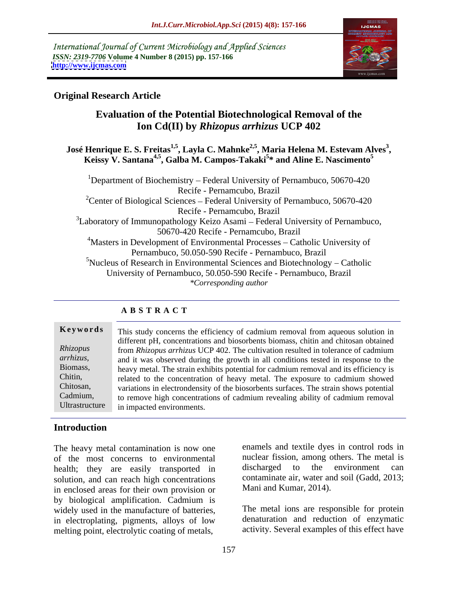International Journal of Current Microbiology and Applied Sciences *ISSN: 2319-7706* **Volume 4 Number 8 (2015) pp. 157-166 <http://www.ijcmas.com>**



# **Original Research Article**

# **Evaluation of the Potential Biotechnological Removal of the Ion Cd(II) by** *Rhizopus arrhizus* **UCP 402**

# José Henrique E. S. Freitas<sup>1,5</sup>, Layla C. Mahnke<sup>2,5</sup>, Maria Helena M. Estevam Alves<sup>3</sup>,<br>Keissy V. Santana<sup>4,5</sup>, Galba M. Campos-Takaki<sup>5</sup>\* and Aline E. Nascimento<sup>5</sup> **, Galba M. Campos-Takaki5 \* and Aline E. Nascimento<sup>5</sup>**

<sup>1</sup>Department of Biochemistry – Federal University of Pernambuco, 50670-420 Recife - Pernamcubo, Brazil <sup>2</sup>Center of Biological Sciences – Federal University of Pernambuco, 50670-420 Recife - Pernamcubo, Brazil  $3$ Laboratory of Immunopathology Keizo Asami – Federal University of Pernambuco, 50670-420 Recife - Pernamcubo, Brazil <sup>4</sup>Masters in Development of Environmental Processes – Catholic University of Pernambuco, 50.050-590 Recife - Pernambuco, Brazil  $5$ Nucleus of Research in Environmental Sciences and Biotechnology – Catholic University of Pernambuco, 50.050-590 Recife - Pernambuco, Brazil *\*Corresponding author*

# **A B S T R A C T**

# Ultrastructure

**Keywords** This study concerns the efficiency of cadmium removal from aqueous solution in different pH, concentrations and biosorbents biomass, chitin and chitosan obtained from *Rhizopus arrhizus* UCP 402. The cultivation resulted in tolerance of cadmium *Rhizopus*  arrhizus, and it was observed during the growth in all conditions tested in response to the heavy metal. The strain exhibits potential for cadmium removal and its efficiency is Biomass, related to the concentration of heavy metal. The exposure to cadmium showed Chitin, variations in electrondensity of the biosorbents surfaces. The strain shows potential Chitosan, Cadmium, to remove high concentrations of cadmium revealing ability of cadmium removal in impacted environments.

# **Introduction**

The heavy metal contamination is now one of the most concerns to environmental unclear fission, among others. The met<br>health: they are easily transported in discharged to the environment health; they are easily transported in solution, and can reach high concentrations in enclosed areas for their own provision or by biological amplification. Cadmium is widely used in the manufacture of batteries, in electroplating, pigments, alloys of low melting point, electrolytic coating of metals,

enamels and textile dyes in control rods in nuclear fission, among others. The metal is discharged to the environment can contaminate air, water and soil (Gadd, 2013; Mani and Kumar, 2014).

The metal ions are responsible for protein denaturation and reduction of enzymatic activity. Several examples of this effect have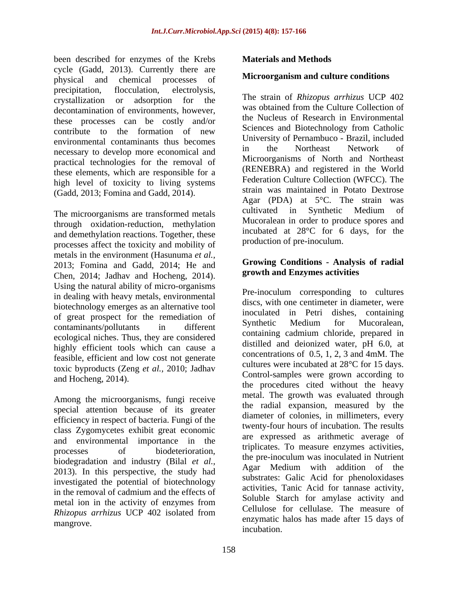been described for enzymes of the Krebs cycle (Gadd, 2013). Currently there are physical and chemical processes of **MICTOOT ALLACTER INCOLLEGATE** precipitation, flocculation, electrolysis, crystallization or adsorption for the  $\frac{1}{10}$  in strain of *Knizopus arrnizus* UCP 402 decontamination of environments, however, these processes can be costly and/or contribute to the formation of new environmental contaminants thus becomes<br>in the Northeast Network of necessary to develop more economical and practical technologies for the removal of these elements, which are responsible for a high level of toxicity to living systems (Gadd, 2013; Fomina and Gadd, 2014).

through oxidation-reduction, methylation and demethylation reactions. Together, these processes affect the toxicity and mobility of metals in the environment (Hasunuma *et al.,* 2013; Fomina and Gadd, 2014; He and Chen, 2014; Jadhav and Hocheng, 2014). **Example 18 September 2014** and Enzymes activities Using the natural ability of micro-organisms in dealing with heavy metals, environmental biotechnology emerges as an alternative tool of great prospect for the remediation of the indication of the synthetic Medium for Mucoralean, ecological niches. Thus, they are considered highly efficient tools which can cause a feasible, efficient and low cost not generate toxic byproducts (Zeng *et al.,* 2010; Jadhav

Among the microorganisms, fungi receive special attention because of its greater efficiency in respect of bacteria. Fungi of the class Zygomycetes exhibit great economic and environmental importance in the biodegradation and industry (Bilal *et al.*, the pre-inoculum was inoculated in Nutrient 2012). I dividend the dividend the Agar Medium with addition of the 2013). In this perspective, the study had investigated the potential of biotechnology in the removal of cadmium and the effects of *Rhizopus arrhizus* UCP 402 isolated from

## **Materials and Methods**

## **Microorganism and culture conditions**

The microorganisms are transformed metals cultivated in Synthetic Medium of The strain of *Rhizopus arrhizus* UCP 402 was obtained from the Culture Collection of the Nucleus of Research in Environmental Sciences and Biotechnology from Catholic University of Pernambuco - Brazil, included in the Northeast Network of Microorganisms of North and Northeast (RENEBRA) and registered in the World Federation Culture Collection (WFCC). The strain was maintained in Potato Dextrose Agar (PDA) at  $5^{\circ}$ C. The strain was cultivated in Synthetic Medium of Mucoralean in order to produce spores and incubated at 28°C for 6 days, for the production of pre-inoculum.

## **Growing Conditions - Analysis of radial growth and Enzymes activities**

contaminants/pollutants in different symmetry wedium for which areas, and Hocheng, 2014). Control-samples were grown according to processes of biodeterioration, upincates to measure enzymes activities, metal ion in the activity of enzymes from solutive statements and all the contract of the contract of the contract of the contract of the contract of the contract of the contract of the contract of the contract of the cont enzymatic halos has made after 15 days of<br>mangrove. Pre-inoculum corresponding to cultures discs, with one centimeter in diameter, were inoculated in Petri dishes, containing Synthetic Medium for Mucoralean, containing cadmium chloride, prepared in distilled and deionized water, pH 6.0, at concentrations of 0.5, 1, 2, 3 and 4mM. The cultures were incubated at 28°C for 15 days. Control-samples were grown according to the procedures cited without the heavy metal. The growth was evaluated through the radial expansion, measured by the diameter of colonies, in millimeters, every twenty-four hours of incubation. The results are expressed as arithmetic average of triplicates. To measure enzymes activities, the pre-inoculum was inoculated in Nutrient Agar Medium with addition of the substrates: Galic Acid for phenoloxidases activities, Tanic Acid for tannase activity, Soluble Starch for amylase activity and Cellulose for cellulase. The measure of incubation.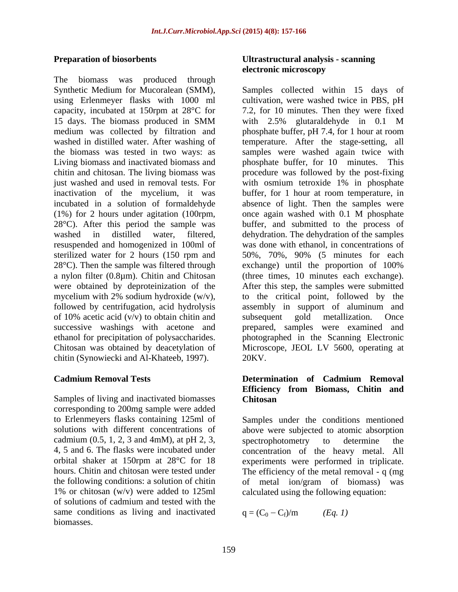The biomass was produced through Living biomass and inactivated biomass and biomass and phosphate buffer, for 10 minutes. This just washed and used in removal tests. For with osmium tetroxide 1% in phosphate (1%) for 2 hours under agitation (100rpm, sterilized water for 2 hours (150 rpm and  $28^{\circ}$ C). Then the sample was filtered through exchange) until the proportion of 100% were obtained by deproteinization of the of 10% acetic acid  $(v/v)$  to obtain chitin and subsequent gold metallization. Once successive washings with acetone and chitin (Synowiecki and Al-Khateeb, 1997).

Samples of living and inactivated biomasses Chitosan corresponding to 200mg sample were added cadmium  $(0.5, 1, 2, 3 \text{ and } 4 \text{mM})$ , at pH 2, 3, spectrophotometry to determine the 1% or chitosan (w/v) were added to 125ml calculated using the following equation: of solutions of cadmium and tested with the same conditions as living and inactivated  $q = (C_0 - C_f)/m$  (Eq. 1) biomasses.

## **Preparation of biosorbents Ultrastructural analysis - scanning electronic microscopy**

Synthetic Medium for Mucoralean (SMM), Samples collected within 15 days of using Erlenmeyer flasks with 1000 ml cultivation, were washed twice in PBS, pH capacity, incubated at 150rpm at 28°C for 7.2, for 10 minutes. Then they were fixed 15 days. The biomass produced in SMM medium was collected by filtration and phosphate buffer, pH 7.4, for 1 hour at room washed in distilled water. After washing of temperature. After the stage-setting, all the biomass was tested in two ways: as samples were washed again twice with chitin and chitosan. The living biomass was procedure was followed by the post-fixing inactivation of the mycelium, it was buffer, for 1 hour at room temperature, in incubated in a solution of formaldehyde absence of light. Then the samples were 28°C). After this period the sample was buffer, and submitted to the process of washed in distilled water, filtered, dehydration. The dehydration of the samples resuspended and homogenized in 100ml of was done with ethanol, in concentrations of a nylon filter (0.8µm). Chitin and Chitosan (three times, 10 minutes each exchange). mycelium with 2% sodium hydroxide (w/v), to the critical point, followed by the followed by centrifugation, acid hydrolysis assembly in support of aluminum and ethanol for precipitation of polysaccharides. photographed in the Scanning Electronic Chitosan was obtained by deacetylation of Microscope, JEOL LV 5600, operating at with 2.5% glutaraldehyde in 0.1 M phosphate buffer, for 10 minutes. with osmium tetroxide 1% in phosphate once again washed with 0.1 M phosphate 50%, 70%, 90% (5 minutes for each exchange) until the proportion of 100% After this step, the samples were submitted subsequent gold metallization. Once prepared, samples were examined and 20KV.

### **Cadmium Removal Tests Determination of Cadmium Removal Efficiency from Biomass, Chitin and Chitosan**

to Erlenmeyers flasks containing 125ml of Samples under the conditions mentioned solutions with different concentrations of above were subjected to atomic absorption 4, 5 and 6. The flasks were incubated under concentration of the heavy metal. All orbital shaker at 150rpm at 28°C for 18 experiments were performed in triplicate. hours. Chitin and chitosan were tested under The efficiency of the metal removal - q (mg the following conditions: a solution of chitin of metal ion/gram of biomass) was spectrophotometry to determine the

> $q = (C_0 - C_f)/m$  (*Eq. 1*) )/m *(Eq. 1)*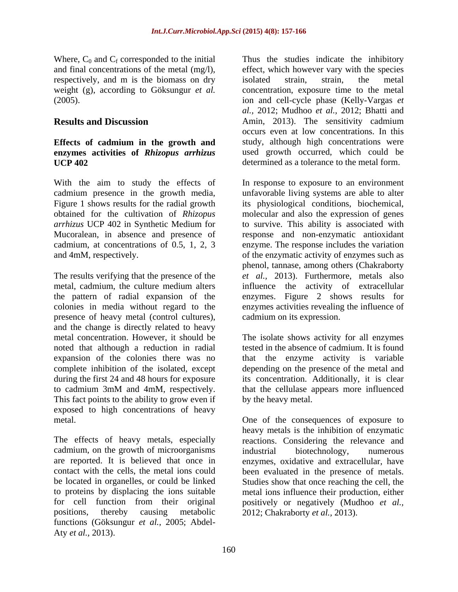Where,  $C_0$  and  $C_f$  corresponded to the initial and final concentrations of the metal (mg/l), respectively, and m is the biomass on dry isolated strain, strain, the metal

## **Effects of cadmium in the growth and enzymes activities of** *Rhizopus arrhizus* **UCP 402** determined as a tolerance to the metal form.

With the aim to study the effects of In response to exposure to an environment cadmium presence in the growth media, Figure 1 shows results for the radial growth its physiological conditions, biochemical, obtained for the cultivation of *Rhizopus*  molecular and also the expression of genes *arrhizus* UCP 402 in Synthetic Medium for to survive. This ability is associated with Mucoralean, in absence and presence of response and non-enzymatic antioxidant cadmium, at concentrations of 0.5, 1, 2, 3 enzyme. The response includes the variation and 4mM, respectively. of the enzymatic activity of enzymes such as

The results verifying that the presence of the *et al.,* 2013). Furthermore, metals also metal, cadmium, the culture medium alters influence the activity of extracellular the pattern of radial expansion of the enzymes. Figure 2 shows results for colonies in media without regard to the enzymes activities revealing the influence of presence of heavy metal (control cultures), and the change is directly related to heavy metal concentration. However, it should be The isolate shows activity for all enzymes noted that although a reduction in radial expansion of the colonies there was no that the enzyme activity is variable complete inhibition of the isolated, except depending on the presence of themetal and during the first 24 and 48 hours for exposure its concentration. Additionally, it is clear to cadmium 3mM and 4mM, respectively. that the cellulase appears more influenced This fact points to the ability to grow even if exposed to high concentrations of heavy

cadmium, on the growth of microorganisms industrial biotechnology, numerous positions, thereby causing metabolic 2012; Chakraborty *et al.,* 2013).functions (Göksungur *et al.,* 2005; Abdel- Aty *et al.,* 2013).

weight (g), according to Göksungur *et al.* concentration, exposure time to the metal (2005). ion and cell-cycle phase (Kelly-Vargas *et*  **Results and Discussion** Amin, 2013). The sensitivity cadmium Thus the studies indicate the inhibitory effect, which however vary with the species isolated strain, strain, the metal *al.,* 2012; Mudhoo *et al.,* 2012; Bhatti and occurs even at low concentrations. In this study, although high concentrations were used growth occurred, which could be

> unfavorable living systems are able to alter phenol, tannase, among others (Chakraborty cadmium on its expression.

> tested in the absence of cadmium. It is found by the heavy metal.

metal. One of the consequences of exposure to The effects of heavy metals, especially reactions. Considering the relevance and are reported. It is believed that once in enzymes, oxidative and extracellular, have contact with the cells, the metal ions could been evaluated in the presence of metals. be located in organelles, or could be linked Studies show that once reaching the cell, the to proteins by displacing the ions suitable metal ions influence their production, either for cell function from their original positively or negatively (Mudhoo *et al.,* heavy metals is the inhibition of enzymatic industrial biotechnology, numerous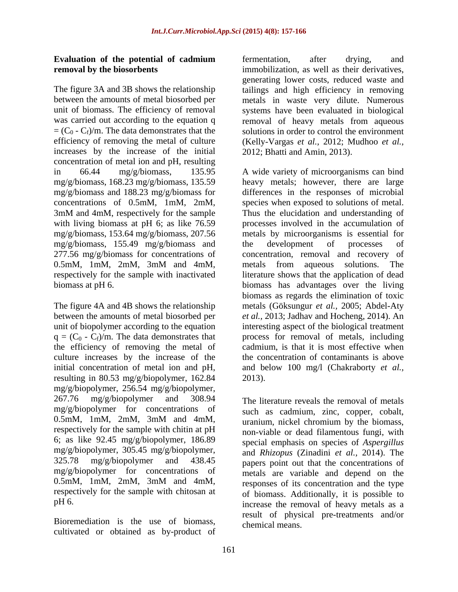$= (C_0 - C_f)/m$ . The data demonstrates that the efficiency of removing the metal of culture increases by the increase of the initial concentration of metal ion and pH, resulting 3mM and 4mM, respectively for the sample with living biomass at pH 6; as like 76.59 mg/g/biomass, 155.49 mg/g/biomass and

The figure 4A and 4B shows the relationship the efficiency of removing the metal of culture increases by the increase of the resulting in 80.53 mg/g/biopolymer, 162.84 mg/g/biopolymer, 256.54 mg/g/biopolymer, 267.76 mg/g/biopolymer and 308.94 The literature reveals the removal of metals mg/g/biopolymer for concentrations of 0.5mM, 1mM, 2mM, 3mM and 4mM, 6; as like 92.45 mg/g/biopolymer, 186.89 mg/g/biopolymer, 305.45 mg/g/biopolymer, respectively for the sample with chitosan at

Bioremediation is the use of biomass, cultivated or obtained as by-product of

**Evaluation of the potential of cadmium removal by the biosorbents immobilization**, as well as their derivatives, The figure 3A and 3B shows the relationship tailings and high efficiency in removing between the amounts of metal biosorbed per metals in waste very dilute. Numerous unit of biomass. The efficiency of removal systems have been evaluated in biological was carried out according to the equation q removal of heavy metals from aqueous )/m. The data demonstrates that the solutions in order to control the environment efficiency of removing the metal of culture (Kelly-Vargas *et al.,* 2012; Mudhoo *et al.,* fermentation, after drying, and generating lower costs, reduced waste and 2012; Bhatti and Amin, 2013).

in 66.44 mg/g/biomass, 135.95 A wide variety of microorganisms can bind mg/g/biomass, 168.23 mg/g/biomass, 135.59 heavy metals; however, there are large mg/g/biomass and 188.23 mg/g/biomass for differences in the responses of microbial concentrations of 0.5mM, 1mM, 2mM, species when exposed to solutions of metal. mg/g/biomass, 153.64 mg/g/biomass, 207.56 metals by microorganisms is essential for 277.56 mg/g/biomass for concentrations of concentration, removal and recovery of 0.5mM, 1mM, 2mM, 3mM and 4mM, respectively for the sample with inactivated literature shows that the application of dead biomass at pH 6. biomass has advantages over the living between the amounts of metal biosorbed per *et al.,* 2013; Jadhav and Hocheng, 2014). An unit of biopolymer according to the equation interesting aspect of the biological treatment  $q = (C_0 - C_f)/m$ . The data demonstrates that process for removal of metals, including initial concentration of metal ion and pH, and below 100 mg/l (Chakraborty *et al.,* Thus the elucidation and understanding of processes involved in the accumulation of the development of processes of metals from aqueous solutions. The biomass as regards the elimination of toxic metals (Göksungur *et al.,* 2005; Abdel-Aty cadmium, is that it is most effective when the concentration of contaminants is above 2013).

respectively for the sample with chitin at pH non-viable or dead filamentous fungi, with 325.78 mg/g/biopolymer and 438.45 papers point out that the concentrations of mg/g/biopolymer for concentrations of metals are variable and depend on the 0.5mM, 1mM, 2mM, 3mM and 4mM, responses of its concentration and the type pH 6. increase the removal of heavy metals as a such as cadmium, zinc, copper, cobalt, uranium, nickel chromium by the biomass, special emphasis on species of *Aspergillus* and *Rhizopus* (Zinadini *et al.,* 2014). The responses of its concentration and the type of biomass. Additionally, it is possible to result of physical pre-treatments and/or chemical means.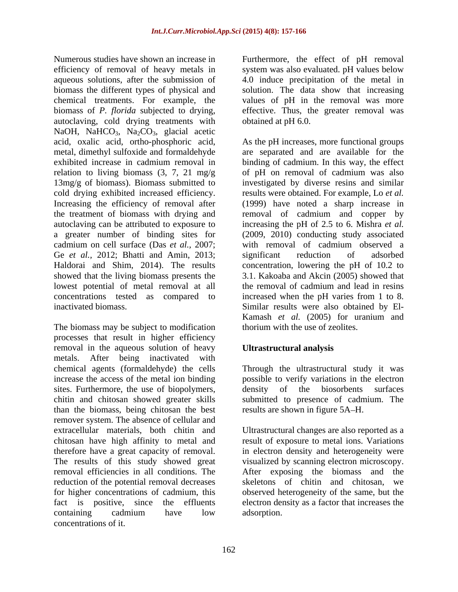Numerous studies have shown an increase in Furthermore, the effect of pH removal efficiency of removal of heavy metals in system was also evaluated. pH values below aqueous solutions, after the submission of 4.0 induce precipitation of the metal in biomass the different types of physical and solution. The data show that increasing chemical treatments. For example, the biomass of *P. florida* subjected to drying, effective. Thus, the greater removal was autoclaving, cold drying treatments with NaOH, NaHCO<sub>3</sub>, Na<sub>2</sub>CO<sub>3</sub>, glacial acetic Ge *et al.*, 2012; Bhatti and Amin, 2013; significant reduction of adsorbed lowest potential of metal removal at all the removal of cadmium and lead in resins

The biomass may be subject to modification processes that result in higher efficiency removal in the aqueous solution of heavy metals. After being inactivated with chemical agents (formaldehyde) the cells increase the access of the metal ion binding possible to verify variations in the electron sites. Furthermore, the use of biopolymers, density of chitin and chitosan showed greater skills than the biomass, being chitosan the best remover system. The absence of cellular and<br>extracellular materials, both chitin and extracellular materials, both chitin and Ultrastructural changes are also reported as a chitosan have high affinity to metal and therefore have a great capacity of removal. in electron density and heterogeneity were The results of this study showed great visualized by scanning electron microscopy. removal efficiencies in all conditions. The After exposing the biomass and the reduction of the potential removal decreases skeletons of chitin and chitosan, we for higher concentrations of cadmium, this fact is positive, since the effluents electron density as a factor that increases the containing cadmium have low adsorption. concentrations of it.

values of pH in the removal was more obtained at pH 6.0.

acid, oxalic acid, ortho-phosphoric acid, As the pH increases, more functional groups metal, dimethyl sulfoxide and formaldehyde are separated and are available for the exhibited increase in cadmium removal in binding of cadmium. In this way, the effect relation to living biomass  $(3, 7, 21 \text{ mg/g})$  of pH on removal of cadmium was also 13mg/g of biomass). Biomass submitted to investigated by diverse resins and similar cold drying exhibited increased efficiency. results were obtained. For example, Lo *et al.* Increasing the efficiency of removal after (1999) have noted a sharp increase in the treatment of biomass with drying and removal of cadmium and copper by autoclaving can be attributed to exposure to increasing the pH of 2.5 to 6. Mishra *et al.* a greater number of binding sites for (2009, 2010) conducting study associated cadmium on cell surface (Das *et al.,* 2007; with removal of cadmium observed a Haldorai and Shim, 2014). The results concentration, lowering the pH of 10.2 to showed that the living biomass presents the 3.1. Kakoaba and Akcin (2005) showed that concentrations tested as compared to increased when the pH varies from 1 to 8. inactivated biomass. Similar results were also obtained by El significant reduction of adsorbed the removal of cadmium and lead in resins Kamash *et al.* (2005) for uranium and thorium with the use of zeolites.

# **Ultrastructural analysis**

Through the ultrastructural study it was the biosorbents surfaces submitted to presence of cadmium. The results are shown in figure 5A–H.

result of exposure to metal ions. Variations skeletons of chitin and chitosan, observed heterogeneity of the same, but the adsorption.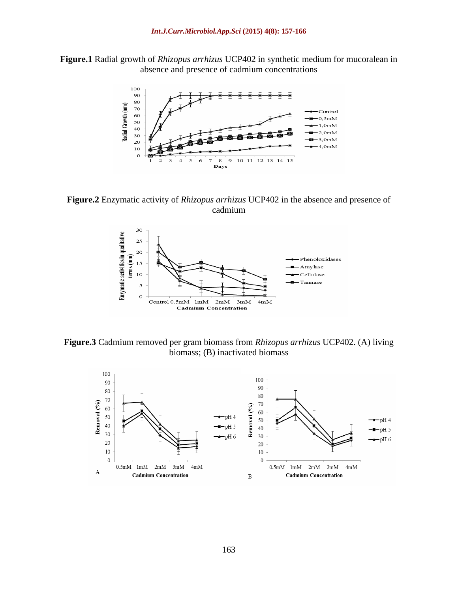**Figure.1** Radial growth of *Rhizopus arrhizus* UCP402 in synthetic medium for mucoralean in absence and presence of cadmium concentrations



**Figure.2** Enzymatic activity of *Rhizopus arrhizus* UCP402 in the absence and presence of cadmium **can be a contract of the contract of the contract of the contract of the contract of the contract of the contract of the contract of the contract of the contract of the contract of the contract of the contract of** 



**Figure.3** Cadmium removed per gram biomass from *Rhizopus arrhizus* UCP402. (A) living biomass; (B) inactivated biomass

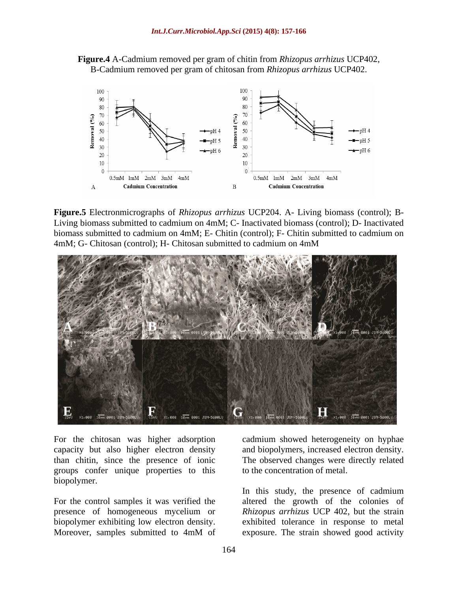



**Figure.5** Electronmicrographs of *Rhizopus arrhizus* UCP204. A- Living biomass (control); B- Living biomass submitted to cadmium on 4mM; C- Inactivated biomass (control); D- Inactivated biomass submitted to cadmium on 4mM; E- Chitin (control); F- Chitin submitted to cadmium on 4mM; G- Chitosan (control); H- Chitosan submitted to cadmium on 4mM



For the chitosan was higher adsorption capacity but also higher electron density and biopolymers, increased electron density. than chitin, since the presence of ionic groups confer unique properties to this biopolymer.

cadmium showed heterogeneity on hyphae The observed changes were directly related to the concentration of metal.

For the control samples it was verified the altered the growth of the colonies of presence of homogeneous mycelium or *Rhizopus arrhizus* UCP 402, but the strain biopolymer exhibiting low electron density. <br>
Moreover, samples submitted to 4mM of a exposure. The strain showed good activity In this study, the presence of cadmium exhibited tolerance in response to metal exposure. The strain showed good activity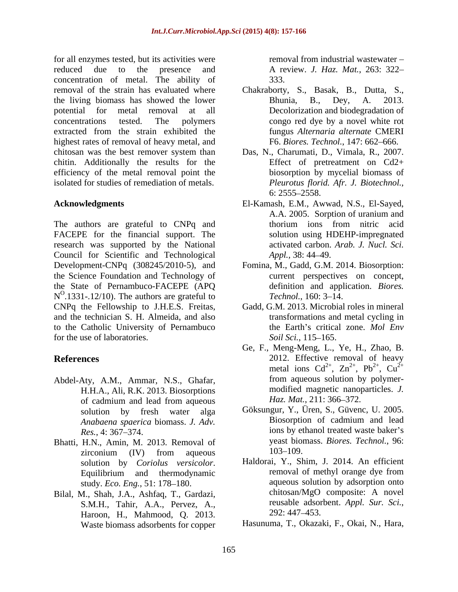for all enzymes tested, but its activities were reduced due to the presence and A review. *J. Haz. Mat.*, 263: 322 concentration of metal. The ability of removal of the strain has evaluated where Chakraborty, S., Basak, B., Dutta, S., the living biomass has showed the lower<br>Bhunia, B., Dey, A. 2013. potential for metal removal at all Decolorization and biodegradation of concentrations tested. The polymers congo red dye by a novel white rot extracted from the strain exhibited the highest rates of removal of heavy metal, and chitosan was the best remover system than Das, N., Charumati, D., Vimala, R., 2007. chitin. Additionally the results for the efficiency of the metal removal point the isolated for studies of remediation of metals.

The authors are grateful to CNPq and thorium ions from nitric acid FACEPE for the financial support. The research was supported by the National Council for Scientific and Technological *Appl.*, 38: 44–49. Development-CNPq (308245/2010-5), and Fomina, M., Gadd, G.M. 2014. Biosorption: the Science Foundation and Technology of the State of Pernambuco-FACEPE (APQ  $N^O$ .1331-.12/10). The authors are grateful to  $Technol.$ , 160: 3–14. CNPq the Fellowship to J.H.E.S. Freitas, Gadd, G.M. 2013. Microbial roles in mineral and the technician S. H. Almeida, and also to the Catholic University of Pernambuco for the use of laboratories. Soil Sci. 115–165.

- H.H.A., Ali, R.K. 2013. Biosorptions of cadmium and lead from aqueous  $Haz$ . *Mat.*, 211: 366–372.
- Bhatti, H.N., Amin, M. 2013. Removal of yeast bior<br>
zirconium (IV) from aqueous 103–109. zirconium  $(IV)$  from aqueous  $103-109$ . study. *Eco. Eng.*, 51: 178-180.
- Bilal, M., Shah, J.A., Ashfaq, T., Gardazi, chitosan/MgO composite: A novel<br>SMH Tahir AA Pervez A reusable adsorbent. Appl. Sur. Sci. S.M.H., Tahir, A.A., Pervez, A., reusable adsor<br>Haroon H Mahmood O 2013 292:447–453. Haroon, H., Mahmood, Q. 2013. Waste biomass adsorbents for copper

removal from industrial wastewater 333.

- Bhunia, B., Dey, A. 2013. fungus *Alternaria alternate* CMERI F6. *Biores. Technol.*, 147: 662–666.
- Effect of pretreatment on Cd2+ biosorption by mycelial biomass of *Pleurotus florid. Afr. J. Biotechnol.,* 6: 2555 2558.
- **Acknowledgments** El-Kamash, E.M., Awwad, N.S., El-Sayed, A.A. 2005. Sorption of uranium and thorium ions from nitric acid solution using HDEHP-impregnated activated carbon. *Arab. J. Nucl. Sci. Appl.,* 38: 44–49.
	- current perspectives on concept, definition and application. *Biores. Technol.*, 160: 3–14.
	- transformations and metal cycling in the Earth's critical zone. *Mol Env Soil Sci.*, 115–165.
- **References** 2012. Effective removal of heavy Abdel-Aty, A.M., Ammar, N.S., Ghafar, from aqueous solution by polymer-Ge, F., Meng-Meng, L., Ye, H., Zhao, B. metal ions  $Cd^{2+}$ ,  $Zn^{2+}$ ,  $Pb^{2+}$ ,  $Cu^{2+}$  $2^+$   $7n^{2+}$   $Dh^{2+}$   $Cu^{2+}$ ,  $\text{Zn}^{2+}$ ,  $\text{Pb}^{2+}$ ,  $\text{Cu}^{2+}$ 2+  $Dh^{2+}$   $Cu^{2+}$ ,  $Pb^{2+}$ ,  $Cu^{2+}$  $2^+$   $\sim 2^+$  $, \mathrm{Cu}^{2+}$  $2^{+}$ from aqueous solution by polymer modified magnetic nanoparticles. *J.*  Haz. Mat., 211: 366-372.
	- solution by fresh water alga Göksungur, Y., Üren, S., Güvenc, U. 2005. *Anabaena spaerica* biomass. *J. Adv. Res.*, 4: 367–374. ions by ethanol treated waste baker's Biosorption of cadmium and lead yeast biomass. *Biores. Technol.*, 96: 103–109.
	- solution by *Coriolus versicolor*. Haldorai, Y., Shim, J. 2014. An efficient<br>Equilibrium and thermodynamic removal of methyl orange dye from Haldorai, Y., Shim, J. 2014. An efficient removal of methyl orange dye from aqueous solution by adsorption onto chitosan/MgO composite: A novel reusable adsorbent. *Appl. Sur. Sci.*, 292: 447 453.

Hasunuma, T., Okazaki, F., Okai, N., Hara,